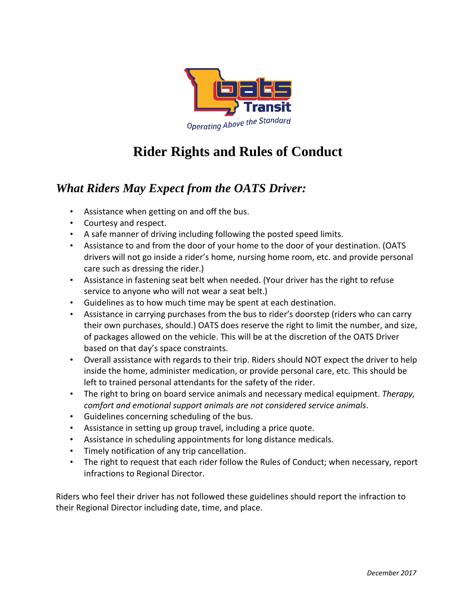

## **Rider Rights and Rules of Conduct**

## *What Riders May Expect from the OATS Driver:*

- Assistance when getting on and off the bus.
- Courtesy and respect.
- A safe manner of driving including following the posted speed limits.
- Assistance to and from the door of your home to the door of your destination. (OATS drivers will not go inside a rider's home, nursing home room, etc. and provide personal care such as dressing the rider.)
- Assistance in fastening seat belt when needed. (Your driver has the right to refuse service to anyone who will not wear a seat belt.)
- Guidelines as to how much time may be spent at each destination.
- Assistance in carrying purchases from the bus to rider's doorstep (riders who can carry their own purchases, should.) OATS does reserve the right to limit the number, and size, of packages allowed on the vehicle. This will be at the discretion of the OATS Driver based on that day's space constraints.
- Overall assistance with regards to their trip. Riders should NOT expect the driver to help inside the home, administer medication, or provide personal care, etc. This should be left to trained personal attendants for the safety of the rider.
- The right to bring on board service animals and necessary medical equipment. *Therapy, comfort and emotional support animals are not considered service animals*.
- Guidelines concerning scheduling of the bus.
- Assistance in setting up group travel, including a price quote.
- Assistance in scheduling appointments for long distance medicals.
- Timely notification of any trip cancellation.
- The right to request that each rider follow the Rules of Conduct; when necessary, report infractions to Regional Director.

Riders who feel their driver has not followed these guidelines should report the infraction to their Regional Director including date, time, and place.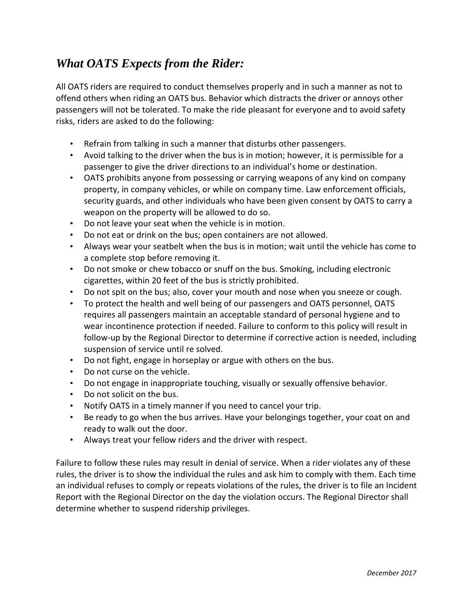## *What OATS Expects from the Rider:*

All OATS riders are required to conduct themselves properly and in such a manner as not to offend others when riding an OATS bus. Behavior which distracts the driver or annoys other passengers will not be tolerated. To make the ride pleasant for everyone and to avoid safety risks, riders are asked to do the following:

- Refrain from talking in such a manner that disturbs other passengers.
- Avoid talking to the driver when the bus is in motion; however, it is permissible for a passenger to give the driver directions to an individual's home or destination.
- OATS prohibits anyone from possessing or carrying weapons of any kind on company property, in company vehicles, or while on company time. Law enforcement officials, security guards, and other individuals who have been given consent by OATS to carry a weapon on the property will be allowed to do so.
- Do not leave your seat when the vehicle is in motion.
- Do not eat or drink on the bus; open containers are not allowed.
- Always wear your seatbelt when the bus is in motion; wait until the vehicle has come to a complete stop before removing it.
- Do not smoke or chew tobacco or snuff on the bus. Smoking, including electronic cigarettes, within 20 feet of the bus is strictly prohibited.
- Do not spit on the bus; also, cover your mouth and nose when you sneeze or cough.
- To protect the health and well being of our passengers and OATS personnel, OATS requires all passengers maintain an acceptable standard of personal hygiene and to wear incontinence protection if needed. Failure to conform to this policy will result in follow-up by the Regional Director to determine if corrective action is needed, including suspension of service until re solved.
- Do not fight, engage in horseplay or argue with others on the bus.
- Do not curse on the vehicle.
- Do not engage in inappropriate touching, visually or sexually offensive behavior.
- Do not solicit on the bus.
- Notify OATS in a timely manner if you need to cancel your trip.
- Be ready to go when the bus arrives. Have your belongings together, your coat on and ready to walk out the door.
- Always treat your fellow riders and the driver with respect.

Failure to follow these rules may result in denial of service. When a rider violates any of these rules, the driver is to show the individual the rules and ask him to comply with them. Each time an individual refuses to comply or repeats violations of the rules, the driver is to file an Incident Report with the Regional Director on the day the violation occurs. The Regional Director shall determine whether to suspend ridership privileges.